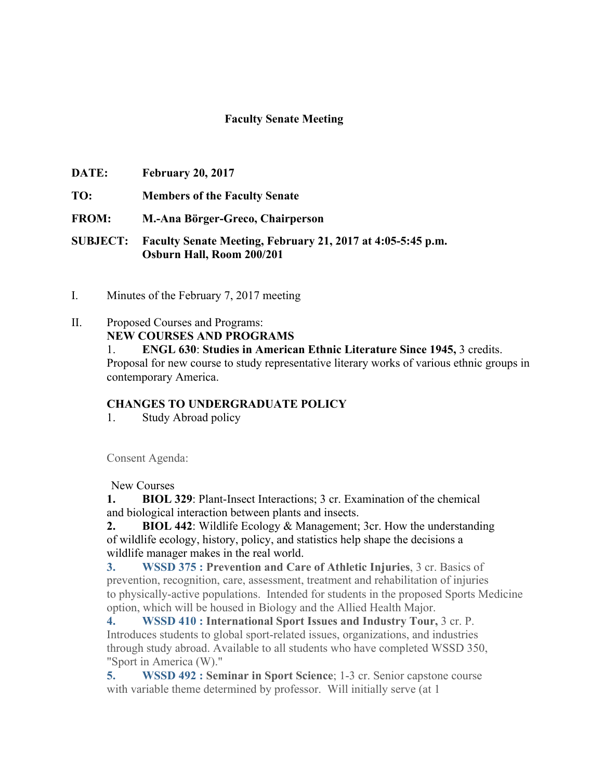## **Faculty Senate Meeting**

- **DATE: February 20, 2017**
- **TO: Members of the Faculty Senate**
- **FROM: M.-Ana Börger-Greco, Chairperson**
- **SUBJECT: Faculty Senate Meeting, February 21, 2017 at 4:05-5:45 p.m. Osburn Hall, Room 200/201**
- I. Minutes of the February 7, 2017 meeting
- II. Proposed Courses and Programs:

**NEW COURSES AND PROGRAMS**

1. **ENGL 630**: **Studies in American Ethnic Literature Since 1945,** 3 credits.

Proposal for new course to study representative literary works of various ethnic groups in contemporary America.

## **CHANGES TO UNDERGRADUATE POLICY**

1. Study Abroad policy

Consent Agenda:

New Courses

**1. BIOL 329**: Plant-Insect Interactions; 3 cr. Examination of the chemical and biological interaction between plants and insects.

**2. BIOL 442**: Wildlife Ecology & Management; 3cr. How the understanding of wildlife ecology, history, policy, and statistics help shape the decisions a wildlife manager makes in the real world.

**3. WSSD 375 : Prevention and Care of Athletic Injuries**, 3 cr. Basics of prevention, recognition, care, assessment, treatment and rehabilitation of injuries to physically-active populations. Intended for students in the proposed Sports Medicine option, which will be housed in Biology and the Allied Health Major.

**4. WSSD 410 : International Sport Issues and Industry Tour,** 3 cr. P. Introduces students to global sport-related issues, organizations, and industries through study abroad. Available to all students who have completed WSSD 350, "Sport in America (W)."

**5. WSSD 492 : Seminar in Sport Science**; 1-3 cr. Senior capstone course with variable theme determined by professor. Will initially serve (at 1